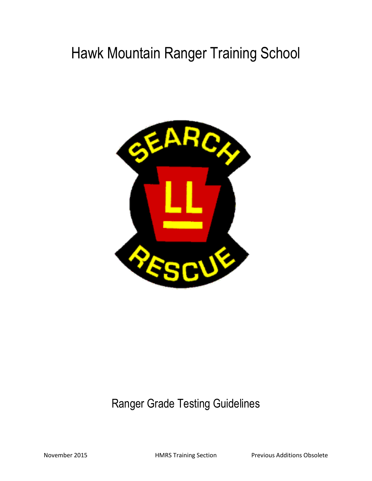# Hawk Mountain Ranger Training School



## Ranger Grade Testing Guidelines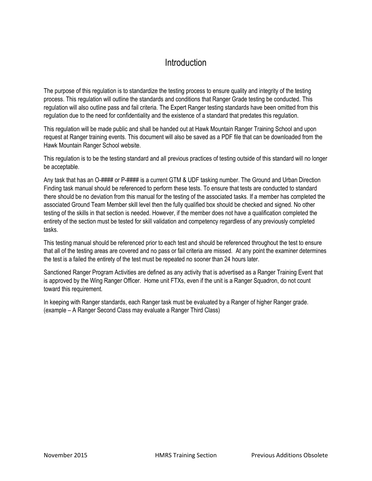### Introduction

The purpose of this regulation is to standardize the testing process to ensure quality and integrity of the testing process. This regulation will outline the standards and conditions that Ranger Grade testing be conducted. This regulation will also outline pass and fail criteria. The Expert Ranger testing standards have been omitted from this regulation due to the need for confidentiality and the existence of a standard that predates this regulation.

This regulation will be made public and shall be handed out at Hawk Mountain Ranger Training School and upon request at Ranger training events. This document will also be saved as a PDF file that can be downloaded from the Hawk Mountain Ranger School website.

This regulation is to be the testing standard and all previous practices of testing outside of this standard will no longer be acceptable.

Any task that has an O-#### or P-#### is a current GTM & UDF tasking number. The Ground and Urban Direction Finding task manual should be referenced to perform these tests. To ensure that tests are conducted to standard there should be no deviation from this manual for the testing of the associated tasks. If a member has completed the associated Ground Team Member skill level then the fully qualified box should be checked and signed. No other testing of the skills in that section is needed. However, if the member does not have a qualification completed the entirety of the section must be tested for skill validation and competency regardless of any previously completed tasks.

This testing manual should be referenced prior to each test and should be referenced throughout the test to ensure that all of the testing areas are covered and no pass or fail criteria are missed. At any point the examiner determines the test is a failed the entirety of the test must be repeated no sooner than 24 hours later.

Sanctioned Ranger Program Activities are defined as any activity that is advertised as a Ranger Training Event that is approved by the Wing Ranger Officer. Home unit FTXs, even if the unit is a Ranger Squadron, do not count toward this requirement.

In keeping with Ranger standards, each Ranger task must be evaluated by a Ranger of higher Ranger grade. (example – A Ranger Second Class may evaluate a Ranger Third Class)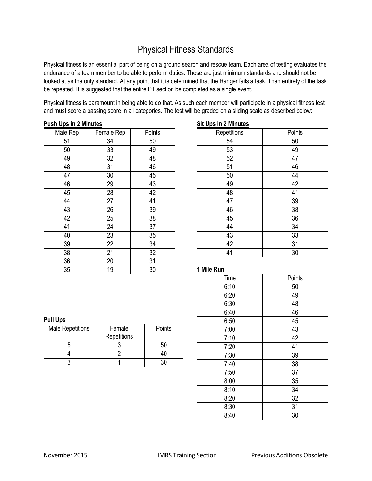### Physical Fitness Standards

Physical fitness is an essential part of being on a ground search and rescue team. Each area of testing evaluates the endurance of a team member to be able to perform duties. These are just minimum standards and should not be looked at as the only standard. At any point that it is determined that the Ranger fails a task. Then entirety of the task be repeated. It is suggested that the entire PT section be completed as a single event.

Physical fitness is paramount in being able to do that. As such each member will participate in a physical fitness test and must score a passing score in all categories. The test will be graded on a sliding scale as described below:

#### **Push Ups in 2 Minutes**

| Male Rep | Female Rep | Points |
|----------|------------|--------|
| 51       | 34         | 50     |
| 50       | 33         | 49     |
| 49       | 32         | 48     |
| 48       | 31         | 46     |
| 47       | 30         | 45     |
| 46       | 29         | 43     |
| 45       | 28         | 42     |
| 44       | 27         | 41     |
| 43       | 26         | 39     |
| 42       | 25         | 38     |
| 41       | 24         | 37     |
| 40       | 23         | 35     |
| 39       | 22         | 34     |
| 38       | 21         | 32     |
| 36       | 20         | 31     |
| 35       | 19         | 30     |

#### **Sit Ups in 2 Minutes** Repetitions | Points 54 50 53 49 52 47 51 46 50 44 49 42 48 41 47 39 46 38 45 36 44 34 43 33 42 31 41 30

#### **1 Mile Run**

| Time | Points |
|------|--------|
| 6:10 | 50     |
| 6:20 | 49     |
| 6:30 | 48     |
| 6:40 | 46     |
| 6:50 | 45     |
| 7:00 | 43     |
| 7:10 | 42     |
| 7:20 | 41     |
| 7:30 | 39     |
| 7:40 | 38     |
| 7:50 | 37     |
| 8:00 | 35     |
| 8:10 | 34     |
| 8:20 | 32     |
| 8:30 | 31     |
| 8:40 | 30     |

#### **Pull Ups**

| <b>Male Repetitions</b> | Female<br>Repetitions | Points |
|-------------------------|-----------------------|--------|
|                         |                       |        |
|                         |                       |        |
|                         |                       |        |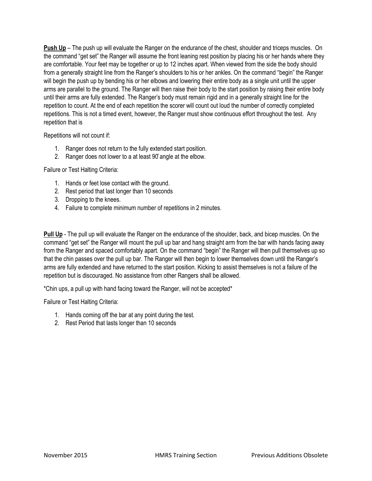**Push Up** – The push up will evaluate the Ranger on the endurance of the chest, shoulder and triceps muscles. On the command "get set" the Ranger will assume the front leaning rest position by placing his or her hands where they are comfortable. Your feet may be together or up to 12 inches apart. When viewed from the side the body should from a generally straight line from the Ranger's shoulders to his or her ankles. On the command "begin" the Ranger will begin the push up by bending his or her elbows and lowering their entire body as a single unit until the upper arms are parallel to the ground. The Ranger will then raise their body to the start position by raising their entire body until their arms are fully extended. The Ranger's body must remain rigid and in a generally straight line for the repetition to count. At the end of each repetition the scorer will count out loud the number of correctly completed repetitions. This is not a timed event, however, the Ranger must show continuous effort throughout the test. Any repetition that is

Repetitions will not count if:

- 1. Ranger does not return to the fully extended start position.
- 2. Ranger does not lower to a at least 90̊angle at the elbow.

Failure or Test Halting Criteria:

- 1. Hands or feet lose contact with the ground.
- 2. Rest period that last longer than 10 seconds
- 3. Dropping to the knees.
- 4. Failure to complete minimum number of repetitions in 2 minutes.

**Pull Up** - The pull up will evaluate the Ranger on the endurance of the shoulder, back, and bicep muscles. On the command "get set" the Ranger will mount the pull up bar and hang straight arm from the bar with hands facing away from the Ranger and spaced comfortably apart. On the command "begin" the Ranger will then pull themselves up so that the chin passes over the pull up bar. The Ranger will then begin to lower themselves down until the Ranger's arms are fully extended and have returned to the start position. Kicking to assist themselves is not a failure of the repetition but is discouraged. No assistance from other Rangers shall be allowed.

\*Chin ups, a pull up with hand facing toward the Ranger, will not be accepted\*

Failure or Test Halting Criteria:

- 1. Hands coming off the bar at any point during the test.
- 2. Rest Period that lasts longer than 10 seconds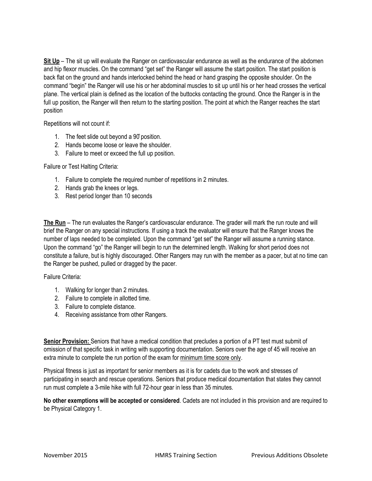**Sit Up** – The sit up will evaluate the Ranger on cardiovascular endurance as well as the endurance of the abdomen and hip flexor muscles. On the command "get set" the Ranger will assume the start position. The start position is back flat on the ground and hands interlocked behind the head or hand grasping the opposite shoulder. On the command "begin" the Ranger will use his or her abdominal muscles to sit up until his or her head crosses the vertical plane. The vertical plain is defined as the location of the buttocks contacting the ground. Once the Ranger is in the full up position, the Ranger will then return to the starting position. The point at which the Ranger reaches the start position

Repetitions will not count if:

- 1. The feet slide out beyond a 90<sup>°</sup> position.
- 2. Hands become loose or leave the shoulder.
- 3. Failure to meet or exceed the full up position.

Failure or Test Halting Criteria:

- 1. Failure to complete the required number of repetitions in 2 minutes.
- 2. Hands grab the knees or legs.
- 3. Rest period longer than 10 seconds

**The Run** – The run evaluates the Ranger's cardiovascular endurance. The grader will mark the run route and will brief the Ranger on any special instructions. If using a track the evaluator will ensure that the Ranger knows the number of laps needed to be completed. Upon the command "get set" the Ranger will assume a running stance. Upon the command "go" the Ranger will begin to run the determined length. Walking for short period does not constitute a failure, but is highly discouraged. Other Rangers may run with the member as a pacer, but at no time can the Ranger be pushed, pulled or dragged by the pacer.

Failure Criteria:

- 1. Walking for longer than 2 minutes.
- 2. Failure to complete in allotted time.
- 3. Failure to complete distance.
- 4. Receiving assistance from other Rangers.

**Senior Provision:** Seniors that have a medical condition that precludes a portion of a PT test must submit of omission of that specific task in writing with supporting documentation. Seniors over the age of 45 will receive an extra minute to complete the run portion of the exam for minimum time score only.

Physical fitness is just as important for senior members as it is for cadets due to the work and stresses of participating in search and rescue operations. Seniors that produce medical documentation that states they cannot run must complete a 3-mile hike with full 72-hour gear in less than 35 minutes.

**No other exemptions will be accepted or considered**. Cadets are not included in this provision and are required to be Physical Category 1.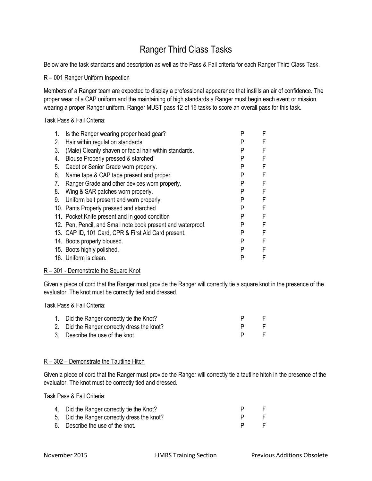### Ranger Third Class Tasks

Below are the task standards and description as well as the Pass & Fail criteria for each Ranger Third Class Task.

#### R – 001 Ranger Uniform Inspection

Members of a Ranger team are expected to display a professional appearance that instills an air of confidence. The proper wear of a CAP uniform and the maintaining of high standards a Ranger must begin each event or mission wearing a proper Ranger uniform. Ranger MUST pass 12 of 16 tasks to score an overall pass for this task.

Task Pass & Fail Criteria:

| Is the Ranger wearing proper head gear?                      | P | F |
|--------------------------------------------------------------|---|---|
| Hair within regulation standards.                            | P | F |
| (Male) Cleanly shaven or facial hair within standards.       | P | F |
| Blouse Properly pressed & starched`                          | P | F |
| Cadet or Senior Grade worn properly.                         | P | F |
| Name tape & CAP tape present and proper.                     | P | F |
| Ranger Grade and other devices worn properly.                | P | F |
| Wing & SAR patches worn properly.                            | P | F |
| Uniform belt present and worn properly.                      | P | F |
| 10. Pants Properly pressed and starched                      | P | F |
| 11. Pocket Knife present and in good condition               | P | F |
| 12. Pen, Pencil, and Small note book present and waterproof. | P | F |
| 13. CAP ID, 101 Card, CPR & First Aid Card present.          | P | F |
| 14. Boots properly bloused.                                  | P | F |
| 15. Boots highly polished.                                   | P | F |
| 16. Uniform is clean.                                        | P | F |
|                                                              |   |   |

#### R – 301 - Demonstrate the Square Knot

Given a piece of cord that the Ranger must provide the Ranger will correctly tie a square knot in the presence of the evaluator. The knot must be correctly tied and dressed.

Task Pass & Fail Criteria:

| 1. Did the Ranger correctly tie the Knot?   |  |
|---------------------------------------------|--|
| 2. Did the Ranger correctly dress the knot? |  |
| 3. Describe the use of the knot.            |  |

#### R – 302 – Demonstrate the Tautline Hitch

Given a piece of cord that the Ranger must provide the Ranger will correctly tie a tautline hitch in the presence of the evaluator. The knot must be correctly tied and dressed.

| 4. Did the Ranger correctly tie the Knot?   |                 |              |
|---------------------------------------------|-----------------|--------------|
| 5. Did the Ranger correctly dress the knot? |                 | $\mathbf{H}$ |
| 6. Describe the use of the knot.            | $P \rightarrow$ |              |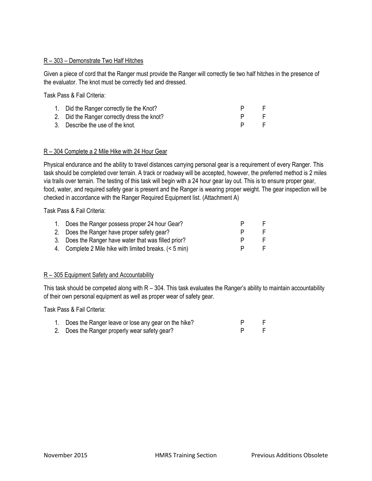#### R – 303 – Demonstrate Two Half Hitches

Given a piece of cord that the Ranger must provide the Ranger will correctly tie two half hitches in the presence of the evaluator. The knot must be correctly tied and dressed.

Task Pass & Fail Criteria:

| 1. Did the Ranger correctly tie the Knot?   |     |
|---------------------------------------------|-----|
| 2. Did the Ranger correctly dress the knot? | . E |
| 3. Describe the use of the knot.            | -F. |

#### R – 304 Complete a 2 Mile Hike with 24 Hour Gear

Physical endurance and the ability to travel distances carrying personal gear is a requirement of every Ranger. This task should be completed over terrain. A track or roadway will be accepted, however, the preferred method is 2 miles via trails over terrain. The testing of this task will begin with a 24 hour gear lay out. This is to ensure proper gear, food, water, and required safety gear is present and the Ranger is wearing proper weight. The gear inspection will be checked in accordance with the Ranger Required Equipment list. (Attachment A)

Task Pass & Fail Criteria:

| 1. Does the Ranger possess proper 24 hour Gear?        |          |
|--------------------------------------------------------|----------|
| 2. Does the Ranger have proper safety gear?            | ь.       |
| 3. Does the Ranger have water that was filled prior?   | <u>ь</u> |
| 4. Complete 2 Mile hike with limited breaks. (< 5 min) | $\vdash$ |
|                                                        |          |

#### R – 305 Equipment Safety and Accountability

This task should be competed along with  $R - 304$ . This task evaluates the Ranger's ability to maintain accountability of their own personal equipment as well as proper wear of safety gear.

| 1. Does the Ranger leave or lose any gear on the hike? |  |
|--------------------------------------------------------|--|
| 2. Does the Ranger properly wear safety gear?          |  |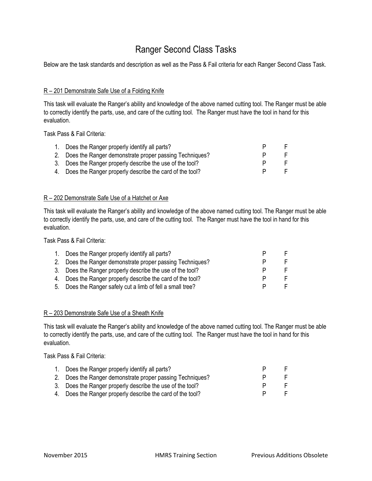### Ranger Second Class Tasks

Below are the task standards and description as well as the Pass & Fail criteria for each Ranger Second Class Task.

#### R – 201 Demonstrate Safe Use of a Folding Knife

This task will evaluate the Ranger's ability and knowledge of the above named cutting tool. The Ranger must be able to correctly identify the parts, use, and care of the cutting tool. The Ranger must have the tool in hand for this evaluation.

Task Pass & Fail Criteria:

| 1. | Does the Ranger properly identify all parts?               |  |
|----|------------------------------------------------------------|--|
|    | 2. Does the Ranger demonstrate proper passing Techniques?  |  |
|    | 3. Does the Ranger properly describe the use of the tool?  |  |
|    | 4. Does the Ranger properly describe the card of the tool? |  |

#### R – 202 Demonstrate Safe Use of a Hatchet or Axe

This task will evaluate the Ranger's ability and knowledge of the above named cutting tool. The Ranger must be able to correctly identify the parts, use, and care of the cutting tool. The Ranger must have the tool in hand for this evaluation.

Task Pass & Fail Criteria:

| 1. | Does the Ranger properly identify all parts?               |  |
|----|------------------------------------------------------------|--|
|    | 2. Does the Ranger demonstrate proper passing Techniques?  |  |
|    | 3. Does the Ranger properly describe the use of the tool?  |  |
|    | 4. Does the Ranger properly describe the card of the tool? |  |
|    | 5. Does the Ranger safely cut a limb of fell a small tree? |  |

#### R – 203 Demonstrate Safe Use of a Sheath Knife

This task will evaluate the Ranger's ability and knowledge of the above named cutting tool. The Ranger must be able to correctly identify the parts, use, and care of the cutting tool. The Ranger must have the tool in hand for this evaluation.

| 1. Does the Ranger properly identify all parts?            |  |
|------------------------------------------------------------|--|
| 2. Does the Ranger demonstrate proper passing Techniques?  |  |
| 3. Does the Ranger properly describe the use of the tool?  |  |
| 4. Does the Ranger properly describe the card of the tool? |  |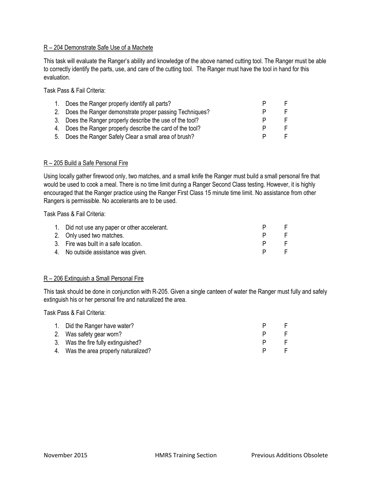#### R – 204 Demonstrate Safe Use of a Machete

This task will evaluate the Ranger's ability and knowledge of the above named cutting tool. The Ranger must be able to correctly identify the parts, use, and care of the cutting tool. The Ranger must have the tool in hand for this evaluation.

Task Pass & Fail Criteria:

| Does the Ranger properly identify all parts?               |   |   |
|------------------------------------------------------------|---|---|
| 2. Does the Ranger demonstrate proper passing Techniques?  |   |   |
| 3. Does the Ranger properly describe the use of the tool?  |   | F |
| 4. Does the Ranger properly describe the card of the tool? | Ρ | F |
| 5. Does the Ranger Safely Clear a small area of brush?     |   | F |

#### R – 205 Build a Safe Personal Fire

Using locally gather firewood only, two matches, and a small knife the Ranger must build a small personal fire that would be used to cook a meal. There is no time limit during a Ranger Second Class testing. However, it is highly encouraged that the Ranger practice using the Ranger First Class 15 minute time limit. No assistance from other Rangers is permissible. No accelerants are to be used.

Task Pass & Fail Criteria:

| 1. Did not use any paper or other accelerant. |  |
|-----------------------------------------------|--|
| 2. Only used two matches.                     |  |
| 3. Fire was built in a safe location.         |  |
| 4. No outside assistance was given.           |  |

#### R – 206 Extinguish a Small Personal Fire

This task should be done in conjunction with R-205. Given a single canteen of water the Ranger must fully and safely extinguish his or her personal fire and naturalized the area.

| 1. Did the Ranger have water?         |  |
|---------------------------------------|--|
| 2. Was safety gear worn?              |  |
| 3. Was the fire fully extinguished?   |  |
| 4. Was the area properly naturalized? |  |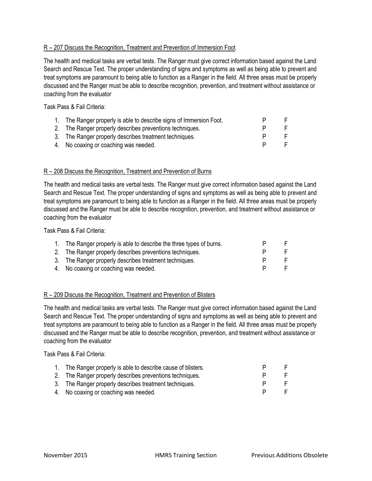#### R - 207 Discuss the Recognition, Treatment and Prevention of Immersion Foot

The health and medical tasks are verbal tests. The Ranger must give correct information based against the Land Search and Rescue Text. The proper understanding of signs and symptoms as well as being able to prevent and treat symptoms are paramount to being able to function as a Ranger in the field. All three areas must be properly discussed and the Ranger must be able to describe recognition, prevention, and treatment without assistance or coaching from the evaluator

Task Pass & Fail Criteria:

| The Ranger properly is able to describe signs of Immersion Foot. |  |
|------------------------------------------------------------------|--|
| 2. The Ranger properly describes preventions techniques.         |  |
| 3. The Ranger properly describes treatment techniques.           |  |
| 4. No coaxing or coaching was needed.                            |  |

#### R – 208 Discuss the Recognition, Treatment and Prevention of Burns

The health and medical tasks are verbal tests. The Ranger must give correct information based against the Land Search and Rescue Text. The proper understanding of signs and symptoms as well as being able to prevent and treat symptoms are paramount to being able to function as a Ranger in the field. All three areas must be properly discussed and the Ranger must be able to describe recognition, prevention, and treatment without assistance or coaching from the evaluator

Task Pass & Fail Criteria:

| 1. The Ranger properly is able to describe the three types of burns. |  |
|----------------------------------------------------------------------|--|
| 2. The Ranger properly describes preventions techniques.             |  |
| 3. The Ranger properly describes treatment techniques.               |  |
| 4. No coaxing or coaching was needed.                                |  |

#### R – 209 Discuss the Recognition, Treatment and Prevention of Blisters

The health and medical tasks are verbal tests. The Ranger must give correct information based against the Land Search and Rescue Text. The proper understanding of signs and symptoms as well as being able to prevent and treat symptoms are paramount to being able to function as a Ranger in the field. All three areas must be properly discussed and the Ranger must be able to describe recognition, prevention, and treatment without assistance or coaching from the evaluator

| 1. The Ranger properly is able to describe cause of blisters. |  |
|---------------------------------------------------------------|--|
| 2. The Ranger properly describes preventions techniques.      |  |
| 3. The Ranger properly describes treatment techniques.        |  |
| 4. No coaxing or coaching was needed.                         |  |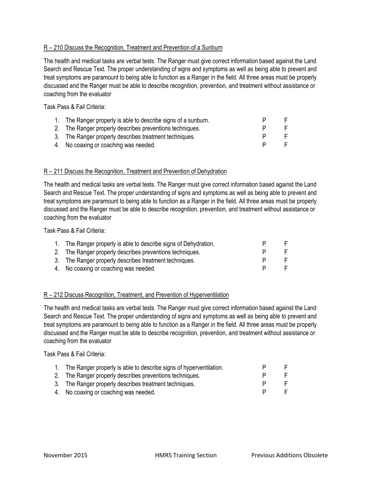#### R – 210 Discuss the Recognition, Treatment and Prevention of a Sunburn

The health and medical tasks are verbal tests. The Ranger must give correct information based against the Land Search and Rescue Text. The proper understanding of signs and symptoms as well as being able to prevent and treat symptoms are paramount to being able to function as a Ranger in the field. All three areas must be properly discussed and the Ranger must be able to describe recognition, prevention, and treatment without assistance or coaching from the evaluator

Task Pass & Fail Criteria:

| 1. The Ranger properly is able to describe signs of a sunburn. |  |
|----------------------------------------------------------------|--|
| 2. The Ranger properly describes preventions techniques.       |  |
| 3. The Ranger properly describes treatment techniques.         |  |
| 4. No coaxing or coaching was needed.                          |  |

#### R – 211 Discuss the Recognition, Treatment and Prevention of Dehydration

The health and medical tasks are verbal tests. The Ranger must give correct information based against the Land Search and Rescue Text. The proper understanding of signs and symptoms as well as being able to prevent and treat symptoms are paramount to being able to function as a Ranger in the field. All three areas must be properly discussed and the Ranger must be able to describe recognition, prevention, and treatment without assistance or coaching from the evaluator

Task Pass & Fail Criteria:

| 1. The Ranger properly is able to describe signs of Dehydration. |  |
|------------------------------------------------------------------|--|
| 2. The Ranger properly describes preventions techniques.         |  |
| 3. The Ranger properly describes treatment techniques.           |  |
| 4. No coaxing or coaching was needed.                            |  |

#### R – 212 Discuss Recognition, Treatment, and Prevention of Hyperventilation

The health and medical tasks are verbal tests. The Ranger must give correct information based against the Land Search and Rescue Text. The proper understanding of signs and symptoms as well as being able to prevent and treat symptoms are paramount to being able to function as a Ranger in the field. All three areas must be properly discussed and the Ranger must be able to describe recognition, prevention, and treatment without assistance or coaching from the evaluator

| 1. The Ranger properly is able to describe signs of hyperventilation. |  |
|-----------------------------------------------------------------------|--|
| 2. The Ranger properly describes preventions techniques.              |  |
| 3. The Ranger properly describes treatment techniques.                |  |
| 4. No coaxing or coaching was needed.                                 |  |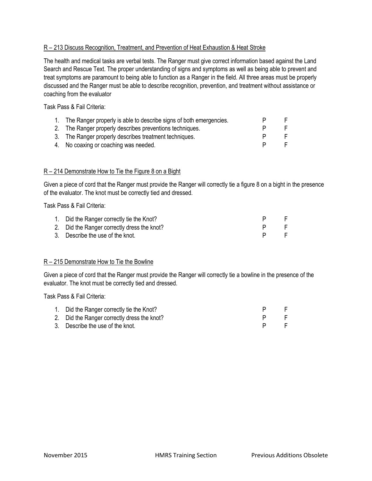#### R – 213 Discuss Recognition, Treatment, and Prevention of Heat Exhaustion & Heat Stroke

The health and medical tasks are verbal tests. The Ranger must give correct information based against the Land Search and Rescue Text. The proper understanding of signs and symptoms as well as being able to prevent and treat symptoms are paramount to being able to function as a Ranger in the field. All three areas must be properly discussed and the Ranger must be able to describe recognition, prevention, and treatment without assistance or coaching from the evaluator

Task Pass & Fail Criteria:

| 1. | The Ranger properly is able to describe signs of both emergencies. |  |
|----|--------------------------------------------------------------------|--|
|    | 2. The Ranger properly describes preventions techniques.           |  |
|    | 3. The Ranger properly describes treatment techniques.             |  |
|    | 4. No coaxing or coaching was needed.                              |  |

#### R – 214 Demonstrate How to Tie the Figure 8 on a Bight

Given a piece of cord that the Ranger must provide the Ranger will correctly tie a figure 8 on a bight in the presence of the evaluator. The knot must be correctly tied and dressed.

Task Pass & Fail Criteria:

| 1. Did the Ranger correctly tie the Knot?   |  |
|---------------------------------------------|--|
| 2. Did the Ranger correctly dress the knot? |  |
| 3. Describe the use of the knot.            |  |

#### R – 215 Demonstrate How to Tie the Bowline

Given a piece of cord that the Ranger must provide the Ranger will correctly tie a bowline in the presence of the evaluator. The knot must be correctly tied and dressed.

| 1. Did the Ranger correctly tie the Knot?   |  |
|---------------------------------------------|--|
| 2. Did the Ranger correctly dress the knot? |  |
| 3. Describe the use of the knot.            |  |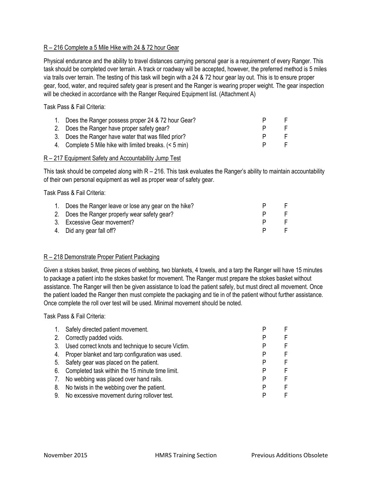#### R – 216 Complete a 5 Mile Hike with 24 & 72 hour Gear

Physical endurance and the ability to travel distances carrying personal gear is a requirement of every Ranger. This task should be completed over terrain. A track or roadway will be accepted, however, the preferred method is 5 miles via trails over terrain. The testing of this task will begin with a 24 & 72 hour gear lay out. This is to ensure proper gear, food, water, and required safety gear is present and the Ranger is wearing proper weight. The gear inspection will be checked in accordance with the Ranger Required Equipment list. (Attachment A)

Task Pass & Fail Criteria:

| 1. Does the Ranger possess proper 24 & 72 hour Gear?   |  |
|--------------------------------------------------------|--|
| 2. Does the Ranger have proper safety gear?            |  |
| 3. Does the Ranger have water that was filled prior?   |  |
| 4. Complete 5 Mile hike with limited breaks. (< 5 min) |  |

#### R – 217 Equipment Safety and Accountability Jump Test

This task should be competed along with  $R - 216$ . This task evaluates the Ranger's ability to maintain accountability of their own personal equipment as well as proper wear of safety gear.

Task Pass & Fail Criteria:

| 1. Does the Ranger leave or lose any gear on the hike? |  |
|--------------------------------------------------------|--|
| 2. Does the Ranger properly wear safety gear?          |  |
| 3. Excessive Gear movement?                            |  |
| 4. Did any gear fall off?                              |  |

#### R – 218 Demonstrate Proper Patient Packaging

Given a stokes basket, three pieces of webbing, two blankets, 4 towels, and a tarp the Ranger will have 15 minutes to package a patient into the stokes basket for movement. The Ranger must prepare the stokes basket without assistance. The Ranger will then be given assistance to load the patient safely, but must direct all movement. Once the patient loaded the Ranger then must complete the packaging and tie in of the patient without further assistance. Once complete the roll over test will be used. Minimal movement should be noted.

| $\mathbf{1}$ . | Safely directed patient movement.                     |   |
|----------------|-------------------------------------------------------|---|
| 2.             | Correctly padded voids.                               | F |
|                | 3. Used correct knots and technique to secure Victim. | F |
|                | 4. Proper blanket and tarp configuration was used.    | F |
|                | 5. Safety gear was placed on the patient.             | F |
|                | 6. Completed task within the 15 minute time limit.    | F |
| 7.             | No webbing was placed over hand rails.                | F |
| 8.             | No twists in the webbing over the patient.            | F |
| 9.             | No excessive movement during rollover test.           | F |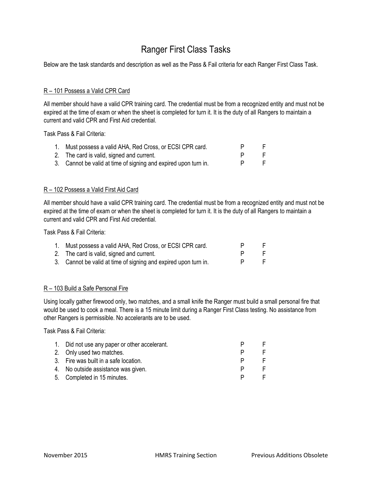### Ranger First Class Tasks

Below are the task standards and description as well as the Pass & Fail criteria for each Ranger First Class Task.

#### R – 101 Possess a Valid CPR Card

All member should have a valid CPR training card. The credential must be from a recognized entity and must not be expired at the time of exam or when the sheet is completed for turn it. It is the duty of all Rangers to maintain a current and valid CPR and First Aid credential.

Task Pass & Fail Criteria:

| 1. | Must possess a valid AHA, Red Cross, or ECSI CPR card.          |  |
|----|-----------------------------------------------------------------|--|
|    | 2. The card is valid, signed and current.                       |  |
|    | 3. Cannot be valid at time of signing and expired upon turn in. |  |

#### R – 102 Possess a Valid First Aid Card

All member should have a valid CPR training card. The credential must be from a recognized entity and must not be expired at the time of exam or when the sheet is completed for turn it. It is the duty of all Rangers to maintain a current and valid CPR and First Aid credential.

Task Pass & Fail Criteria:

| 1. | Must possess a valid AHA, Red Cross, or ECSI CPR card.          |  |
|----|-----------------------------------------------------------------|--|
|    | 2. The card is valid, signed and current.                       |  |
|    | 3. Cannot be valid at time of signing and expired upon turn in. |  |

#### R – 103 Build a Safe Personal Fire

Using locally gather firewood only, two matches, and a small knife the Ranger must build a small personal fire that would be used to cook a meal. There is a 15 minute limit during a Ranger First Class testing. No assistance from other Rangers is permissible. No accelerants are to be used.

| 1. Did not use any paper or other accelerant. |   |  |
|-----------------------------------------------|---|--|
| 2. Only used two matches.                     |   |  |
| 3. Fire was built in a safe location.         |   |  |
| 4. No outside assistance was given.           | P |  |
| 5. Completed in 15 minutes.                   |   |  |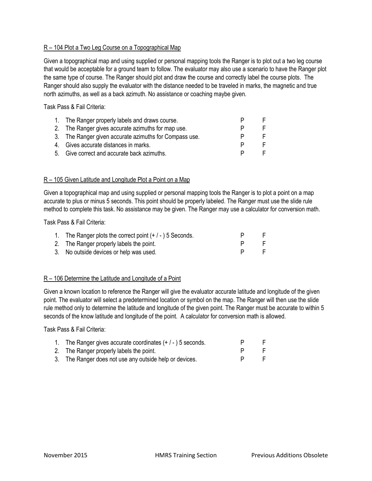#### R – 104 Plot a Two Leg Course on a Topographical Map

Given a topographical map and using supplied or personal mapping tools the Ranger is to plot out a two leg course that would be acceptable for a ground team to follow. The evaluator may also use a scenario to have the Ranger plot the same type of course. The Ranger should plot and draw the course and correctly label the course plots. The Ranger should also supply the evaluator with the distance needed to be traveled in marks, the magnetic and true north azimuths, as well as a back azimuth. No assistance or coaching maybe given.

Task Pass & Fail Criteria:

| 1. The Ranger properly labels and draws course.        |  |
|--------------------------------------------------------|--|
| 2. The Ranger gives accurate azimuths for map use.     |  |
| 3. The Ranger given accurate azimuths for Compass use. |  |
| 4. Gives accurate distances in marks.                  |  |
| 5. Give correct and accurate back azimuths.            |  |

#### R – 105 Given Latitude and Longitude Plot a Point on a Map

Given a topographical map and using supplied or personal mapping tools the Ranger is to plot a point on a map accurate to plus or minus 5 seconds. This point should be properly labeled. The Ranger must use the slide rule method to complete this task. No assistance may be given. The Ranger may use a calculator for conversion math.

#### Task Pass & Fail Criteria:

| 1. The Ranger plots the correct point $(+/-)$ 5 Seconds. |              |
|----------------------------------------------------------|--------------|
| 2. The Ranger properly labels the point.                 |              |
| 3. No outside devices or help was used.                  | $\mathbf{H}$ |

#### R – 106 Determine the Latitude and Longitude of a Point

Given a known location to reference the Ranger will give the evaluator accurate latitude and longitude of the given point. The evaluator will select a predetermined location or symbol on the map. The Ranger will then use the slide rule method only to determine the latitude and longitude of the given point. The Ranger must be accurate to within 5 seconds of the know latitude and longitude of the point. A calculator for conversion math is allowed.

| 1. The Ranger gives accurate coordinates $(+/-)$ 5 seconds. |  |
|-------------------------------------------------------------|--|
| 2. The Ranger properly labels the point.                    |  |
| 3. The Ranger does not use any outside help or devices.     |  |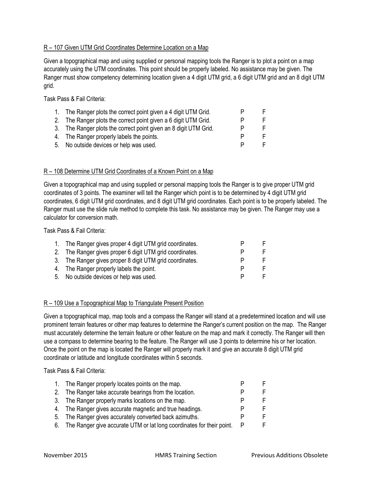#### R – 107 Given UTM Grid Coordinates Determine Location on a Map

Given a topographical map and using supplied or personal mapping tools the Ranger is to plot a point on a map accurately using the UTM coordinates. This point should be properly labeled. No assistance may be given. The Ranger must show competency determining location given a 4 digit UTM grid, a 6 digit UTM grid and an 8 digit UTM grid.

Task Pass & Fail Criteria:

| 1. The Ranger plots the correct point given a 4 digit UTM Grid.  |  |
|------------------------------------------------------------------|--|
| 2. The Ranger plots the correct point given a 6 digit UTM Grid.  |  |
| 3. The Ranger plots the correct point given an 8 digit UTM Grid. |  |
| 4. The Ranger properly labels the points.                        |  |
| 5. No outside devices or help was used.                          |  |

#### R – 108 Determine UTM Grid Coordinates of a Known Point on a Map

Given a topographical map and using supplied or personal mapping tools the Ranger is to give proper UTM grid coordinates of 3 points. The examiner will tell the Ranger which point is to be determined by 4 digit UTM grid coordinates, 6 digit UTM grid coordinates, and 8 digit UTM grid coordinates. Each point is to be properly labeled. The Ranger must use the slide rule method to complete this task. No assistance may be given. The Ranger may use a calculator for conversion math.

Task Pass & Fail Criteria:

| 1. The Ranger gives proper 4 digit UTM grid coordinates. |   |  |
|----------------------------------------------------------|---|--|
| 2. The Ranger gives proper 6 digit UTM grid coordinates. |   |  |
| 3. The Ranger gives proper 8 digit UTM grid coordinates. |   |  |
| 4. The Ranger properly labels the point.                 |   |  |
| 5. No outside devices or help was used.                  | P |  |

#### R – 109 Use a Topographical Map to Triangulate Present Position

Given a topographical map, map tools and a compass the Ranger will stand at a predetermined location and will use prominent terrain features or other map features to determine the Ranger's current position on the map. The Ranger must accurately determine the terrain feature or other feature on the map and mark it correctly. The Ranger will then use a compass to determine bearing to the feature. The Ranger will use 3 points to determine his or her location. Once the point on the map is located the Ranger will properly mark it and give an accurate 8 digit UTM grid coordinate or latitude and longitude coordinates within 5 seconds.

| $1_{\cdot}$ | The Ranger properly locates points on the map.                           |  |
|-------------|--------------------------------------------------------------------------|--|
|             | 2. The Ranger take accurate bearings from the location.                  |  |
|             | 3. The Ranger properly marks locations on the map.                       |  |
|             | 4. The Ranger gives accurate magnetic and true headings.                 |  |
|             | 5. The Ranger gives accurately converted back azimuths.                  |  |
|             | 6. The Ranger give accurate UTM or lat long coordinates for their point. |  |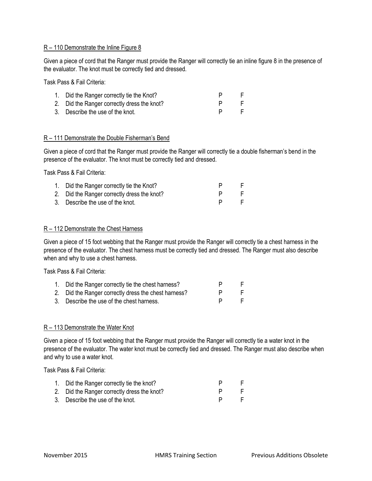#### R – 110 Demonstrate the Inline Figure 8

Given a piece of cord that the Ranger must provide the Ranger will correctly tie an inline figure 8 in the presence of the evaluator. The knot must be correctly tied and dressed.

Task Pass & Fail Criteria:

| 1. Did the Ranger correctly tie the Knot?   |  |
|---------------------------------------------|--|
| 2. Did the Ranger correctly dress the knot? |  |
| 3. Describe the use of the knot.            |  |

#### R – 111 Demonstrate the Double Fisherman's Bend

Given a piece of cord that the Ranger must provide the Ranger will correctly tie a double fisherman's bend in the presence of the evaluator. The knot must be correctly tied and dressed.

Task Pass & Fail Criteria:

| 1. Did the Ranger correctly tie the Knot?   |    |
|---------------------------------------------|----|
| 2. Did the Ranger correctly dress the knot? | .F |
| 3. Describe the use of the knot.            | -F |

#### R – 112 Demonstrate the Chest Harness

Given a piece of 15 foot webbing that the Ranger must provide the Ranger will correctly tie a chest harness in the presence of the evaluator. The chest harness must be correctly tied and dressed. The Ranger must also describe when and why to use a chest harness.

Task Pass & Fail Criteria:

| 1. Did the Ranger correctly tie the chest harness?   |    |
|------------------------------------------------------|----|
| 2. Did the Ranger correctly dress the chest harness? | н. |
| 3. Describe the use of the chest harness.            |    |

#### R – 113 Demonstrate the Water Knot

Given a piece of 15 foot webbing that the Ranger must provide the Ranger will correctly tie a water knot in the presence of the evaluator. The water knot must be correctly tied and dressed. The Ranger must also describe when and why to use a water knot.

| 1. Did the Ranger correctly tie the knot?   |  |
|---------------------------------------------|--|
| 2. Did the Ranger correctly dress the knot? |  |
| 3. Describe the use of the knot.            |  |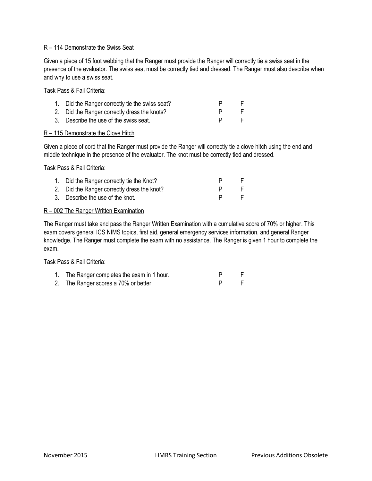#### R – 114 Demonstrate the Swiss Seat

Given a piece of 15 foot webbing that the Ranger must provide the Ranger will correctly tie a swiss seat in the presence of the evaluator. The swiss seat must be correctly tied and dressed. The Ranger must also describe when and why to use a swiss seat.

Task Pass & Fail Criteria:

| 1. Did the Ranger correctly tie the swiss seat? |  |
|-------------------------------------------------|--|
| 2. Did the Ranger correctly dress the knots?    |  |
| 3. Describe the use of the swiss seat.          |  |

#### R – 115 Demonstrate the Clove Hitch

Given a piece of cord that the Ranger must provide the Ranger will correctly tie a clove hitch using the end and middle technique in the presence of the evaluator. The knot must be correctly tied and dressed.

Task Pass & Fail Criteria:

| 1. Did the Ranger correctly tie the Knot?   |  |
|---------------------------------------------|--|
| 2. Did the Ranger correctly dress the knot? |  |
| 3. Describe the use of the knot.            |  |
|                                             |  |

#### R – 002 The Ranger Written Examination

The Ranger must take and pass the Ranger Written Examination with a cumulative score of 70% or higher. This exam covers general ICS NIMS topics, first aid, general emergency services information, and general Ranger knowledge. The Ranger must complete the exam with no assistance. The Ranger is given 1 hour to complete the exam.

Task Pass & Fail Criteria:

| The Ranger completes the exam in 1 hour. |  |  |
|------------------------------------------|--|--|
|                                          |  |  |

2. The Ranger scores a 70% or better. The P F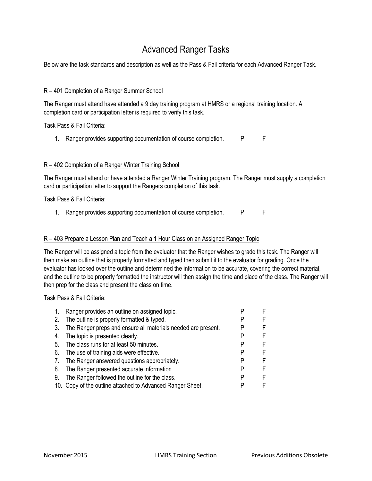### Advanced Ranger Tasks

Below are the task standards and description as well as the Pass & Fail criteria for each Advanced Ranger Task.

#### R – 401 Completion of a Ranger Summer School

The Ranger must attend have attended a 9 day training program at HMRS or a regional training location. A completion card or participation letter is required to verify this task.

Task Pass & Fail Criteria:

1. Ranger provides supporting documentation of course completion. PFF

#### R – 402 Completion of a Ranger Winter Training School

The Ranger must attend or have attended a Ranger Winter Training program. The Ranger must supply a completion card or participation letter to support the Rangers completion of this task.

Task Pass & Fail Criteria:

1. Ranger provides supporting documentation of course completion. PFF

#### R – 403 Prepare a Lesson Plan and Teach a 1 Hour Class on an Assigned Ranger Topic

The Ranger will be assigned a topic from the evaluator that the Ranger wishes to grade this task. The Ranger will then make an outline that is properly formatted and typed then submit it to the evaluator for grading. Once the evaluator has looked over the outline and determined the information to be accurate, covering the correct material, and the outline to be properly formatted the instructor will then assign the time and place of the class. The Ranger will then prep for the class and present the class on time.

| 1. | Ranger provides an outline on assigned topic.                 |   | F  |
|----|---------------------------------------------------------------|---|----|
| 2. | The outline is properly formatted & typed.                    |   | F  |
| 3. | The Ranger preps and ensure all materials needed are present. |   | F  |
| 4. | The topic is presented clearly.                               |   | F. |
|    | 5. The class runs for at least 50 minutes.                    |   | F  |
|    | 6. The use of training aids were effective.                   |   | F  |
|    | 7. The Ranger answered questions appropriately.               |   | F  |
| 8. | The Ranger presented accurate information                     | Р | F  |
| 9. | The Ranger followed the outline for the class.                | Р | E  |
|    | 10. Copy of the outline attached to Advanced Ranger Sheet.    |   | F  |
|    |                                                               |   |    |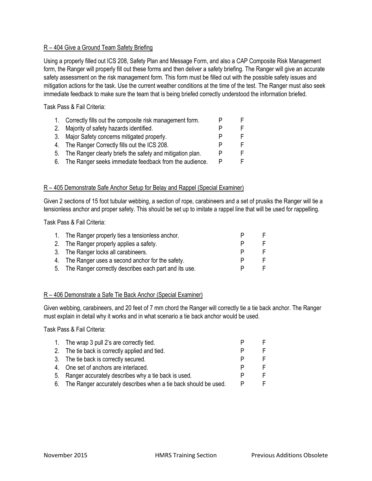#### R – 404 Give a Ground Team Safety Briefing

Using a properly filled out ICS 208, Safety Plan and Message Form, and also a CAP Composite Risk Management form, the Ranger will properly fill out these forms and then deliver a safety briefing. The Ranger will give an accurate safety assessment on the risk management form. This form must be filled out with the possible safety issues and mitigation actions for the task. Use the current weather conditions at the time of the test. The Ranger must also seek immediate feedback to make sure the team that is being briefed correctly understood the information briefed.

Task Pass & Fail Criteria:

| 1. Correctly fills out the composite risk management form.   |  |
|--------------------------------------------------------------|--|
| 2. Majority of safety hazards identified.                    |  |
| 3. Major Safety concerns mitigated properly.                 |  |
| 4. The Ranger Correctly fills out the ICS 208.               |  |
| 5. The Ranger clearly briefs the safety and mitigation plan. |  |
| 6. The Ranger seeks immediate feedback from the audience.    |  |

#### R – 405 Demonstrate Safe Anchor Setup for Belay and Rappel (Special Examiner)

Given 2 sections of 15 foot tubular webbing, a section of rope, carabineers and a set of prusiks the Ranger will tie a tensionless anchor and proper safety. This should be set up to imitate a rappel line that will be used for rappelling.

Task Pass & Fail Criteria:

| 1. The Ranger properly ties a tensionless anchor.        |  |
|----------------------------------------------------------|--|
| 2. The Ranger properly applies a safety.                 |  |
| 3. The Ranger locks all carabineers.                     |  |
| 4. The Ranger uses a second anchor for the safety.       |  |
| 5. The Ranger correctly describes each part and its use. |  |

#### R – 406 Demonstrate a Safe Tie Back Anchor (Special Examiner)

Given webbing, carabineers, and 20 feet of 7 mm chord the Ranger will correctly tie a tie back anchor. The Ranger must explain in detail why it works and in what scenario a tie back anchor would be used.

| 1. The wrap 3 pull 2's are correctly tied.                         |  |
|--------------------------------------------------------------------|--|
| 2. The tie back is correctly applied and tied.                     |  |
| 3. The tie back is correctly secured.                              |  |
| 4. One set of anchors are interlaced.                              |  |
| 5. Ranger accurately describes why a tie back is used.             |  |
| 6. The Ranger accurately describes when a tie back should be used. |  |
|                                                                    |  |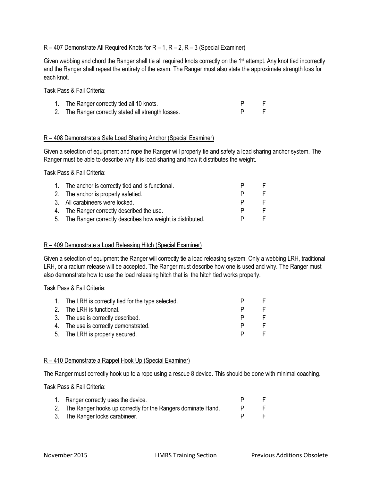#### $R - 407$  Demonstrate All Required Knots for  $R - 1$ ,  $R - 2$ ,  $R - 3$  (Special Examiner)

Given webbing and chord the Ranger shall tie all required knots correctly on the 1<sup>st</sup> attempt. Any knot tied incorrectly and the Ranger shall repeat the entirety of the exam. The Ranger must also state the approximate strength loss for each knot.

Task Pass & Fail Criteria:

| 1. The Ranger correctly tied all 10 knots.          |  |
|-----------------------------------------------------|--|
| 2. The Ranger correctly stated all strength losses. |  |

#### R – 408 Demonstrate a Safe Load Sharing Anchor (Special Examiner)

Given a selection of equipment and rope the Ranger will properly tie and safety a load sharing anchor system. The Ranger must be able to describe why it is load sharing and how it distributes the weight.

Task Pass & Fail Criteria:

| 1. The anchor is correctly tied and is functional.           |  |
|--------------------------------------------------------------|--|
| 2. The anchor is properly safetied.                          |  |
| 3. All carabineers were locked.                              |  |
| 4. The Ranger correctly described the use.                   |  |
| 5. The Ranger correctly describes how weight is distributed. |  |

#### R – 409 Demonstrate a Load Releasing Hitch (Special Examiner)

Given a selection of equipment the Ranger will correctly tie a load releasing system. Only a webbing LRH, traditional LRH, or a radium release will be accepted. The Ranger must describe how one is used and why. The Ranger must also demonstrate how to use the load releasing hitch that is the hitch tied works properly.

Task Pass & Fail Criteria:

| 1. The LRH is correctly tied for the type selected. |   |  |
|-----------------------------------------------------|---|--|
| 2. The LRH is functional.                           | P |  |
| 3. The use is correctly described.                  | P |  |
| 4. The use is correctly demonstrated.               | P |  |
| 5. The LRH is properly secured.                     |   |  |

#### R – 410 Demonstrate a Rappel Hook Up (Special Examiner)

The Ranger must correctly hook up to a rope using a rescue 8 device. This should be done with minimal coaching.

| 1. Ranger correctly uses the device.                            |  |
|-----------------------------------------------------------------|--|
| 2. The Ranger hooks up correctly for the Rangers dominate Hand. |  |
| 3. The Ranger locks carabineer.                                 |  |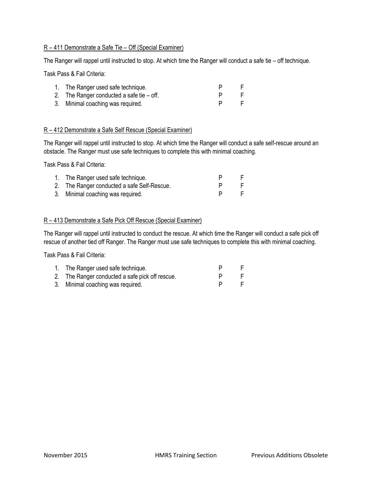#### R – 411 Demonstrate a Safe Tie – Off (Special Examiner)

The Ranger will rappel until instructed to stop. At which time the Ranger will conduct a safe tie – off technique.

Task Pass & Fail Criteria:

| 1. The Ranger used safe technique.          |    |
|---------------------------------------------|----|
| 2. The Ranger conducted a safe tie $-$ off. | н. |
| 3. Minimal coaching was required.           |    |

#### R – 412 Demonstrate a Safe Self Rescue (Special Examiner)

The Ranger will rappel until instructed to stop. At which time the Ranger will conduct a safe self-rescue around an obstacle. The Ranger must use safe techniques to complete this with minimal coaching.

Task Pass & Fail Criteria:

| 1. The Ranger used safe technique.          |    |
|---------------------------------------------|----|
| 2. The Ranger conducted a safe Self-Rescue. | н. |
| 3. Minimal coaching was required.           | E. |

#### R – 413 Demonstrate a Safe Pick Off Rescue (Special Examiner)

The Ranger will rappel until instructed to conduct the rescue. At which time the Ranger will conduct a safe pick off rescue of another tied off Ranger. The Ranger must use safe techniques to complete this with minimal coaching.

| 1. The Ranger used safe technique.              |  |
|-------------------------------------------------|--|
| 2. The Ranger conducted a safe pick off rescue. |  |
| 3. Minimal coaching was required.               |  |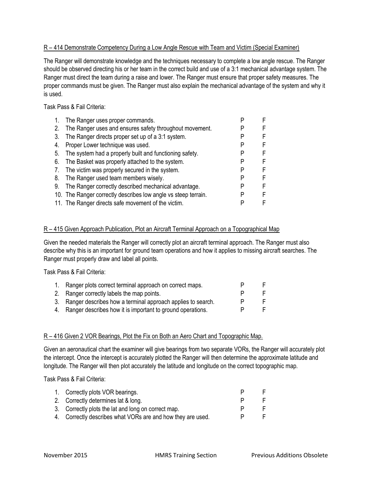#### R – 414 Demonstrate Competency During a Low Angle Rescue with Team and Victim (Special Examiner)

The Ranger will demonstrate knowledge and the techniques necessary to complete a low angle rescue. The Ranger should be observed directing his or her team in the correct build and use of a 3:1 mechanical advantage system. The Ranger must direct the team during a raise and lower. The Ranger must ensure that proper safety measures. The proper commands must be given. The Ranger must also explain the mechanical advantage of the system and why it is used.

Task Pass & Fail Criteria:

| 1. | The Ranger uses proper commands.                               |  |
|----|----------------------------------------------------------------|--|
| 2. | The Ranger uses and ensures safety throughout movement.        |  |
| 3. | The Ranger directs proper set up of a 3:1 system.              |  |
| 4. | Proper Lower technique was used.                               |  |
| 5. | The system had a properly built and functioning safety.        |  |
| 6. | The Basket was properly attached to the system.                |  |
| 7. | The victim was properly secured in the system.                 |  |
| 8. | The Ranger used team members wisely.                           |  |
| 9. | The Ranger correctly described mechanical advantage.           |  |
|    | 10. The Ranger correctly describes low angle vs steep terrain. |  |
|    | 11. The Ranger directs safe movement of the victim.            |  |

#### R - 415 Given Approach Publication, Plot an Aircraft Terminal Approach on a Topographical Map

Given the needed materials the Ranger will correctly plot an aircraft terminal approach. The Ranger must also describe why this is an important for ground team operations and how it applies to missing aircraft searches. The Ranger must properly draw and label all points.

Task Pass & Fail Criteria:

| 1. Ranger plots correct terminal approach on correct maps.     |  |
|----------------------------------------------------------------|--|
| 2. Ranger correctly labels the map points.                     |  |
| 3. Ranger describes how a terminal approach applies to search. |  |
| 4. Ranger describes how it is important to ground operations.  |  |

#### R – 416 Given 2 VOR Bearings, Plot the Fix on Both an Aero Chart and Topographic Map.

Given an aeronautical chart the examiner will give bearings from two separate VORs, the Ranger will accurately plot the intercept. Once the intercept is accurately plotted the Ranger will then determine the approximate latitude and longitude. The Ranger will then plot accurately the latitude and longitude on the correct topographic map.

| 1. Correctly plots VOR bearings.                            |  |
|-------------------------------------------------------------|--|
| 2. Correctly determines lat & long.                         |  |
| 3. Correctly plots the lat and long on correct map.         |  |
| 4. Correctly describes what VORs are and how they are used. |  |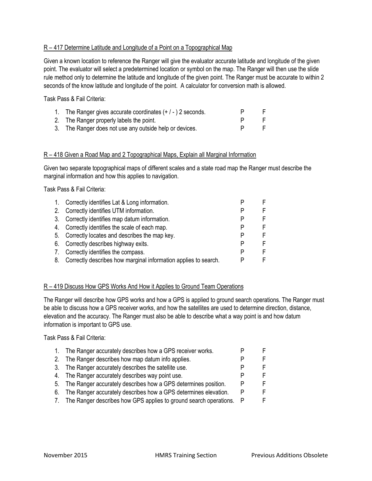#### R - 417 Determine Latitude and Longitude of a Point on a Topographical Map

Given a known location to reference the Ranger will give the evaluator accurate latitude and longitude of the given point. The evaluator will select a predetermined location or symbol on the map. The Ranger will then use the slide rule method only to determine the latitude and longitude of the given point. The Ranger must be accurate to within 2 seconds of the know latitude and longitude of the point. A calculator for conversion math is allowed.

Task Pass & Fail Criteria:

| 1. The Ranger gives accurate coordinates $(+/-)$ 2 seconds. |                |
|-------------------------------------------------------------|----------------|
| 2. The Ranger properly labels the point.                    |                |
| 3. The Ranger does not use any outside help or devices.     | $\blacksquare$ |

#### R – 418 Given a Road Map and 2 Topographical Maps, Explain all Marginal Information

Given two separate topographical maps of different scales and a state road map the Ranger must describe the marginal information and how this applies to navigation.

Task Pass & Fail Criteria:

| 1. | Correctly identifies Lat & Long information.                       |  |
|----|--------------------------------------------------------------------|--|
|    | 2. Correctly identifies UTM information.                           |  |
|    | 3. Correctly identifies map datum information.                     |  |
|    | 4. Correctly identifies the scale of each map.                     |  |
|    | 5. Correctly locates and describes the map key.                    |  |
|    | 6. Correctly describes highway exits.                              |  |
|    | 7. Correctly identifies the compass.                               |  |
|    | 8. Correctly describes how marginal information applies to search. |  |

#### R – 419 Discuss How GPS Works And How it Applies to Ground Team Operations

The Ranger will describe how GPS works and how a GPS is applied to ground search operations. The Ranger must be able to discuss how a GPS receiver works, and how the satellites are used to determine direction, distance, elevation and the accuracy. The Ranger must also be able to describe what a way point is and how datum information is important to GPS use.

| 1. | The Ranger accurately describes how a GPS receiver works.            |     |  |
|----|----------------------------------------------------------------------|-----|--|
|    | 2. The Ranger describes how map datum info applies.                  |     |  |
|    | 3. The Ranger accurately describes the satellite use.                |     |  |
|    | 4. The Ranger accurately describes way point use.                    |     |  |
|    | 5. The Ranger accurately describes how a GPS determines position.    |     |  |
|    | 6. The Ranger accurately describes how a GPS determines elevation.   | P   |  |
|    | 7. The Ranger describes how GPS applies to ground search operations. | - P |  |
|    |                                                                      |     |  |